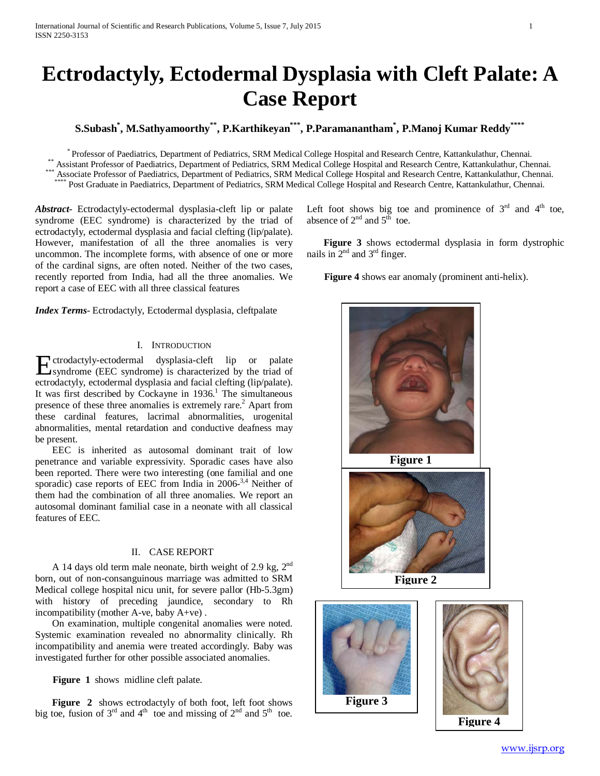# **Ectrodactyly, Ectodermal Dysplasia with Cleft Palate: A Case Report**

**S.Subash\* , M.Sathyamoorthy\*\*, P.Karthikeyan\*\*\*, P.Paramanantham\* , P.Manoj Kumar Reddy\*\*\*\***

\* Professor of Paediatrics, Department of Pediatrics, SRM Medical College Hospital and Research Centre, Kattankulathur, Chennai.<br>
Assistant Professor of Paediatrics, Department of Pediatrics, SRM Medical College Hospital a

*Abstract***-** Ectrodactyly-ectodermal dysplasia-cleft lip or palate syndrome (EEC syndrome) is characterized by the triad of ectrodactyly, ectodermal dysplasia and facial clefting (lip/palate). However, manifestation of all the three anomalies is very uncommon. The incomplete forms, with absence of one or more of the cardinal signs, are often noted. Neither of the two cases, recently reported from India, had all the three anomalies. We report a case of EEC with all three classical features

*Index Terms*- Ectrodactyly, Ectodermal dysplasia, cleftpalate

## I. INTRODUCTION

Extrodactyly-ectodermal dysplasia-cleft lip or palate<br>
syndrome (EEC syndrome) is characterized by the triad of syndrome (EEC syndrome) is characterized by the triad of ectrodactyly, ectodermal dysplasia and facial clefting (lip/palate). It was first described by Cockayne in  $1936$ .<sup>1</sup> The simultaneous presence of these three anomalies is extremely rare.<sup>2</sup> Apart from these cardinal features, lacrimal abnormalities, urogenital abnormalities, mental retardation and conductive deafness may be present.

 EEC is inherited as autosomal dominant trait of low penetrance and variable expressivity. Sporadic cases have also been reported. There were two interesting (one familial and one sporadic) case reports of EEC from India in 2006<sup>-3,4</sup> Neither of them had the combination of all three anomalies. We report an autosomal dominant familial case in a neonate with all classical features of EEC.

# II. CASE REPORT

A 14 days old term male neonate, birth weight of 2.9 kg,  $2^{nd}$ born, out of non-consanguinous marriage was admitted to SRM Medical college hospital nicu unit, for severe pallor (Hb-5.3gm) with history of preceding jaundice, secondary to Rh incompatibility (mother A-ve, baby A+ve) .

 On examination, multiple congenital anomalies were noted. Systemic examination revealed no abnormality clinically. Rh incompatibility and anemia were treated accordingly. Baby was investigated further for other possible associated anomalies.

**Figure 1** shows midline cleft palate.

Figure 2 shows ectrodactyly of both foot, left foot shows big toe, fusion of  $3<sup>rd</sup>$  and  $4<sup>th</sup>$  toe and missing of  $2<sup>nd</sup>$  and  $5<sup>th</sup>$  toe. Left foot shows big toe and prominence of  $3<sup>rd</sup>$  and  $4<sup>th</sup>$  toe, absence of  $2<sup>nd</sup>$  and  $5<sup>th</sup>$  toe.

 **Figure 3** shows ectodermal dysplasia in form dystrophic nails in  $2<sup>nd</sup>$  and  $3<sup>rd</sup>$  finger.

**Figure 4** shows ear anomaly (prominent anti-helix).